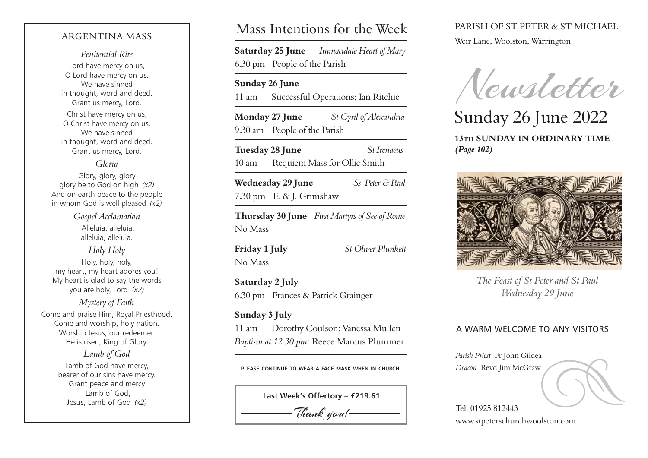## ARGENTINA MASS

*Penitential Rite* Lord have mercy on us, O Lord have mercy on us. We have sinned in thought, word and deed.

Grant us mercy, Lord. Christ have mercy on us, O Christ have mercy on us. We have sinned in thought, word and deed. Grant us mercy, Lord.

## *Gloria*

Glory, glory, glory glory be to God on high *(x2)* And on earth peace to the people in whom God is well pleased *(x2)*

> *Gospel Acclamation* Alleluia, alleluia, alleluia, alleluia.

*Holy Holy* Holy, holy, holy, my heart, my heart adores you! My heart is glad to say the words you are holy, Lord *(x2)*

*Mystery of Faith* Come and praise Him, Royal Priesthood. Come and worship, holy nation. Worship Jesus, our redeemer. He is risen, King of Glory.

> *Lamb of God* Lamb of God have mercy, bearer of our sins have mercy. Grant peace and mercy Lamb of God, Jesus, Lamb of God *(x2)*

# Mass Intentions for the Week

**Saturday 25 June** *Immaculate Heart of Mary* 6.30 pm People of the Parish

## **Sunday 26 June**

11 am Successful Operations; Ian Ritchie

**Monday 27 June** *St Cyril of Alexandria* 9.30 am People of the Parish

**Tuesday 28 June** *St Irenaeus* 10 am Requiem Mass for Ollie Smith

**Wednesday 29 June** *Ss Peter & Paul* 7.30 pm E. & J. Grimshaw

**Thursday 30 June** *First Martyrs of See of Rome* No Mass

**Friday 1 July** *St Oliver Plunkett*

No Mass

**Saturday 2 July** *I* 6.30 pm Frances & Patrick Grainger

## **Sunday 3 July**

11 am Dorothy Coulson; Vanessa Mullen *Baptism at 12.30 pm:* Reece Marcus Plummer

**please continue to wear a face mask when in church**



# PARISH OF ST PETER & ST MICHAEL

Weir Lane, Woolston, Warrington

*(Page 102)*

Newsletter

Sunday 26 June 2022 **13th SUNDAY IN ORDINARY TIME** 



*The Feast of St Peter and St Paul Wednesday 29 June*

## A WARM WELCOME TO ANY VISITORS

*Parish Priest* Fr John Gildea

Parish Priest Fr John Gildea<br> *Deacon* Revd Jim McGraw<br>
Tel. 01925 812443

Tel. 01925 812443 www.stpeterschurchwoolston.com